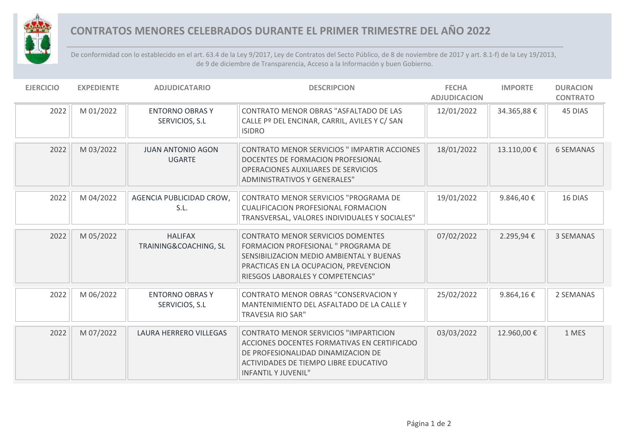

## **CONTRATOS MENORES CELEBRADOS DURANTE EL PRIMER TRIMESTRE DEL AÑO 2022**

De conformidad con lo establecido en el art. 63.4 de la Ley 9/2017, Ley de Contratos del Secto Público, de 8 de noviembre de 2017 y art. 8.1-f) de la Ley 19/2013, de 9 de diciembre de Transparencia, Acceso a la Información y buen Gobierno.

| <b>EJERCICIO</b> | <b>EXPEDIENTE</b> | <b>ADJUDICATARIO</b>                      | <b>DESCRIPCION</b>                                                                                                                                                                                        | <b>FECHA</b><br><b>ADJUDICACION</b> | <b>IMPORTE</b> | <b>DURACION</b><br><b>CONTRATO</b> |
|------------------|-------------------|-------------------------------------------|-----------------------------------------------------------------------------------------------------------------------------------------------------------------------------------------------------------|-------------------------------------|----------------|------------------------------------|
| 2022             | M 01/2022         | <b>ENTORNO OBRAS Y</b><br>SERVICIOS, S.L. | <b>CONTRATO MENOR OBRAS "ASFALTADO DE LAS</b><br>CALLE Pº DEL ENCINAR, CARRIL, AVILES Y C/ SAN<br><b>ISIDRO</b>                                                                                           | 12/01/2022                          | 34.365,88€     | 45 DIAS                            |
| 2022             | M 03/2022         | <b>JUAN ANTONIO AGON</b><br><b>UGARTE</b> | CONTRATO MENOR SERVICIOS " IMPARTIR ACCIONES<br>DOCENTES DE FORMACION PROFESIONAL<br>OPERACIONES AUXILIARES DE SERVICIOS<br>ADMINISTRATIVOS Y GENERALES"                                                  | 18/01/2022                          | 13.110,00€     | <b>6 SEMANAS</b>                   |
| 2022             | M 04/2022         | AGENCIA PUBLICIDAD CROW,<br>S.L.          | <b>CONTRATO MENOR SERVICIOS "PROGRAMA DE</b><br><b>CUALIFICACION PROFESIONAL FORMACION</b><br>TRANSVERSAL, VALORES INDIVIDUALES Y SOCIALES"                                                               | 19/01/2022                          | 9.846,40€      | 16 DIAS                            |
| 2022             | M 05/2022         | <b>HALIFAX</b><br>TRAINING&COACHING, SL   | <b>CONTRATO MENOR SERVICIOS DOMENTES</b><br>FORMACION PROFESIONAL " PROGRAMA DE<br>SENSIBILIZACION MEDIO AMBIENTAL Y BUENAS<br>PRACTICAS EN LA OCUPACION, PREVENCION<br>RIESGOS LABORALES Y COMPETENCIAS" | 07/02/2022                          | 2.295,94€      | 3 SEMANAS                          |
| 2022             | M 06/2022         | <b>ENTORNO OBRAS Y</b><br>SERVICIOS, S.L  | <b>CONTRATO MENOR OBRAS "CONSERVACION Y</b><br>MANTENIMIENTO DEL ASFALTADO DE LA CALLE Y<br><b>TRAVESIA RIO SAR"</b>                                                                                      | 25/02/2022                          | 9.864,16€      | 2 SEMANAS                          |
| 2022             | M 07/2022         | LAURA HERRERO VILLEGAS                    | <b>CONTRATO MENOR SERVICIOS "IMPARTICION</b><br>ACCIONES DOCENTES FORMATIVAS EN CERTIFICADO<br>DE PROFESIONALIDAD DINAMIZACION DE<br>ACTIVIDADES DE TIEMPO LIBRE EDUCATIVO<br><b>INFANTIL Y JUVENIL"</b>  | 03/03/2022                          | 12.960,00€     | 1 MES                              |